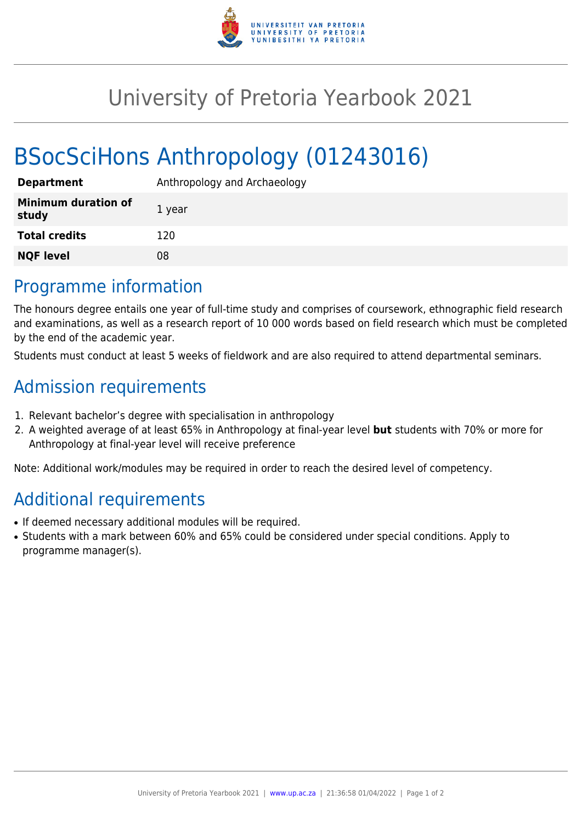

## University of Pretoria Yearbook 2021

# BSocSciHons Anthropology (01243016)

| <b>Department</b>                   | Anthropology and Archaeology |
|-------------------------------------|------------------------------|
| <b>Minimum duration of</b><br>study | 1 year                       |
| <b>Total credits</b>                | 120                          |
| <b>NQF level</b>                    | 08                           |
|                                     |                              |

#### Programme information

The honours degree entails one year of full-time study and comprises of coursework, ethnographic field research and examinations, as well as a research report of 10 000 words based on field research which must be completed by the end of the academic year.

Students must conduct at least 5 weeks of fieldwork and are also required to attend departmental seminars.

### Admission requirements

- 1. Relevant bachelor's degree with specialisation in anthropology
- 2. A weighted average of at least 65% in Anthropology at final-year level **but** students with 70% or more for Anthropology at final-year level will receive preference

Note: Additional work/modules may be required in order to reach the desired level of competency.

## Additional requirements

- If deemed necessary additional modules will be required.
- Students with a mark between 60% and 65% could be considered under special conditions. Apply to programme manager(s).